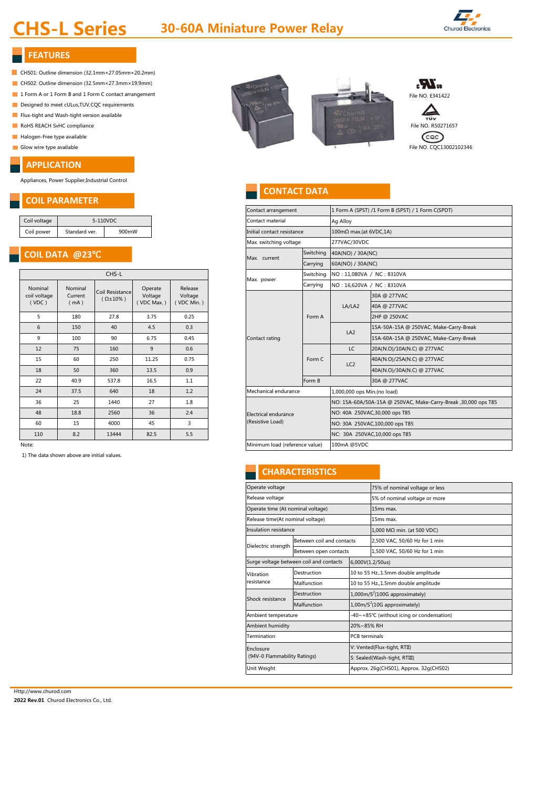# **CHS-L Series 30-60A Miniature Power Relay**



#### **FEATURES**

- CHS01: Outline dimension (32.1mm×27.05mm×20.2mm)
- CHS02: Outline dimension (32.5mm×27.3mm×19.9mm)
- 
- Designed to meet cULus, TUV, CQC requirements
- Flux-tight and Wash-tight version available
- 
- Halogen-Free type available
- 

#### **APPLICATION**

Appliances, Power Supplier,Industrial Control

### **COIL PARAMETER**

# **COIL DATA @23**℃

|                                  | CHS-L                      |                                        |                                  |                                  |  |  |  |
|----------------------------------|----------------------------|----------------------------------------|----------------------------------|----------------------------------|--|--|--|
| Nominal<br>coil voltage<br>(VDC) | Nominal<br>Current<br>(mA) | Coil Resistance<br>$(\Omega \pm 10\%)$ | Operate<br>Voltage<br>(VDC Max.) | Release<br>Voltage<br>(VDC Min.) |  |  |  |
| 5                                | 180                        | 27.8                                   | 3.75                             | 0.25                             |  |  |  |
| 6                                | 150                        | 40                                     | 4.5                              | 0.3                              |  |  |  |
| 9                                | 100                        | 90                                     | 6.75                             | 0.45                             |  |  |  |
| 12                               | 75                         | 160                                    | 9                                | 0.6                              |  |  |  |
| 15                               | 60                         | 250                                    | 11.25                            | 0.75                             |  |  |  |
| 18                               | 50                         | 360                                    | 13.5                             | 0.9                              |  |  |  |
| 22                               | 40.9                       | 537.8                                  | 16.5                             | 1.1                              |  |  |  |
| 24                               | 37.5                       | 640                                    | 18                               | 1.2                              |  |  |  |
| 36                               | 25                         | 1440                                   | 27                               | 1.8                              |  |  |  |
| 48                               | 18.8                       | 2560                                   | 36                               | 2.4                              |  |  |  |
| 60                               | 15                         | 4000                                   | 45                               | 3                                |  |  |  |
| 110                              | 8.2                        | 13444                                  | 82.5                             | 5.5                              |  |  |  |

1) The data shown above are initial values.



### **CONTACT DATA**

|                                          | UVILI AIVAIVILI LIV    |                                        |            |                            |  |                                          |                           |                                                                |                                        |  |  |  |
|------------------------------------------|------------------------|----------------------------------------|------------|----------------------------|--|------------------------------------------|---------------------------|----------------------------------------------------------------|----------------------------------------|--|--|--|
|                                          |                        |                                        |            |                            |  | Contact arrangement                      |                           | 1 Form A (SPST) /1 Form B (SPST) / 1 Form C(SPDT)              |                                        |  |  |  |
| Coil voltage                             | 5-110VDC               |                                        |            | Contact material           |  | Ag Alloy                                 |                           |                                                                |                                        |  |  |  |
| Coil power                               | 900mW<br>Standard ver. |                                        |            | Initial contact resistance |  | $100 \text{m}\Omega$ max.(at 6VDC,1A)    |                           |                                                                |                                        |  |  |  |
|                                          |                        |                                        |            |                            |  | Max. switching voltage                   |                           |                                                                | 277VAC/30VDC                           |  |  |  |
| COIL DATA @23°C                          |                        |                                        |            |                            |  | Switching<br>Max. current                |                           | 40A(NO) / 30A(NC)                                              |                                        |  |  |  |
|                                          |                        |                                        |            |                            |  |                                          | Carrying                  |                                                                | 60A(NO) / 30A(NC)                      |  |  |  |
| CHS-L                                    |                        |                                        |            | Max. power                 |  | Switching                                | NO: 11,080VA / NC: 8310VA |                                                                |                                        |  |  |  |
| Nominal                                  | Nominal                |                                        | Operate    | Release                    |  |                                          | Carrying                  | NO: 16,620VA / NC: 8310VA                                      |                                        |  |  |  |
| coil voltage<br>Current<br>(VDC)<br>(mA) |                        | Coil Resistance<br>$(\Omega \pm 10\%)$ | Voltage    | Voltage                    |  |                                          |                           |                                                                | 30A @ 277VAC                           |  |  |  |
|                                          |                        | (VDC Max.)                             | (VDC Min.) |                            |  |                                          | LA/LA2                    | 40A @ 277VAC                                                   |                                        |  |  |  |
| 5                                        | 180                    | 27.8                                   | 3.75       | 0.25                       |  | Contact rating                           | Form A                    |                                                                | 2HP @ 250VAC                           |  |  |  |
| 6                                        | 150                    | 40                                     | 4.5        | 0.3                        |  |                                          |                           | LA <sub>2</sub>                                                | 15A-50A-15A @ 250VAC, Make-Carry-Break |  |  |  |
| 9                                        | 100                    | 90                                     | 6.75       | 0.45                       |  |                                          |                           |                                                                | 15A-60A-15A @ 250VAC, Make-Carry-Break |  |  |  |
| 12                                       | 75                     | 160                                    | 9          | 0.6                        |  |                                          | Form C                    | LC                                                             | 20A(N.O)/10A(N.C) @ 277VAC             |  |  |  |
| 15                                       | 60                     | 250                                    | 11.25      | 0.75                       |  |                                          |                           | LC <sub>2</sub>                                                | 40A(N.O)/25A(N.C) @ 277VAC             |  |  |  |
| 18                                       | 50                     | 360                                    | 13.5       | 0.9                        |  |                                          |                           |                                                                | 40A(N.O)/30A(N.C) @ 277VAC             |  |  |  |
| 22                                       | 40.9                   | 537.8                                  | 16.5       | 1.1                        |  |                                          | Form B                    |                                                                | 30A @ 277VAC                           |  |  |  |
| 24                                       | 37.5                   | 640                                    | 18         | 1.2                        |  | Mechanical endurance                     |                           | 1,000,000 ops Min.(no load)                                    |                                        |  |  |  |
| 36                                       | 25                     | 1440                                   | 27         | 1.8                        |  |                                          |                           | NO: 15A-60A/50A-15A @ 250VAC, Make-Carry-Break, 30,000 ops T85 |                                        |  |  |  |
| 48                                       | 18.8                   | 2560                                   | 36         | 2.4                        |  | Electrical endurance<br>(Resistive Load) |                           | NO: 40A 250VAC, 30,000 ops T85                                 |                                        |  |  |  |
| 60                                       | 15                     | 4000                                   | 45         | 3                          |  |                                          |                           | NO: 30A 250VAC, 100,000 ops T85                                |                                        |  |  |  |
| 110                                      | 8.2                    | 13444                                  | 82.5       | 5.5                        |  |                                          |                           | NC: 30A 250VAC, 10,000 ops T85                                 |                                        |  |  |  |
| Note:                                    |                        |                                        |            |                            |  | Minimum load (reference value)           |                           | 100mA @5VDC                                                    |                                        |  |  |  |
|                                          |                        |                                        |            |                            |  |                                          |                           |                                                                |                                        |  |  |  |

### **CHARACTERISTICS**

|                                           |                      | 75% of nominal voltage or less                |  |  |  |  |
|-------------------------------------------|----------------------|-----------------------------------------------|--|--|--|--|
|                                           |                      | 5% of nominal voltage or more                 |  |  |  |  |
| Operate time (At nominal voltage)         |                      | 15 <sub>ms</sub> max.                         |  |  |  |  |
| Release time(At nominal voltage)          |                      | 15ms max.                                     |  |  |  |  |
|                                           |                      | 1,000 MΩ min. (at 500 VDC)                    |  |  |  |  |
|                                           |                      | 2,500 VAC, 50/60 Hz for 1 min                 |  |  |  |  |
| Between open contacts                     |                      | 1,500 VAC, 50/60 Hz for 1 min                 |  |  |  |  |
| Surge voltage between coil and contacts   |                      |                                               |  |  |  |  |
| Destruction                               |                      | 10 to 55 Hz., 1.5mm double amplitude          |  |  |  |  |
| Malfunction                               |                      | 10 to 55 Hz., 1.5mm double amplitude          |  |  |  |  |
| Destruction                               |                      | $1,000$ m/S <sup>2</sup> (100G approximately) |  |  |  |  |
| Malfunction                               |                      | $1,00$ m/S <sup>2</sup> (10G approximately)   |  |  |  |  |
| Ambient temperature                       |                      | -40~+85°C (without icing or condensation)     |  |  |  |  |
|                                           | 20%~85% RH           |                                               |  |  |  |  |
|                                           | <b>PCB</b> terminals |                                               |  |  |  |  |
| Enclosure<br>(94V-0 Flammability Ratings) |                      | V: Vented(Flux-tight, RTII)                   |  |  |  |  |
|                                           |                      | S: Sealed(Wash-tight, RTIII)                  |  |  |  |  |
| Unit Weight                               |                      | Approx. 26q(CHS01), Approx. 32q(CHS02)        |  |  |  |  |
|                                           |                      | Between coil and contacts<br>6,000V(1.2/50us) |  |  |  |  |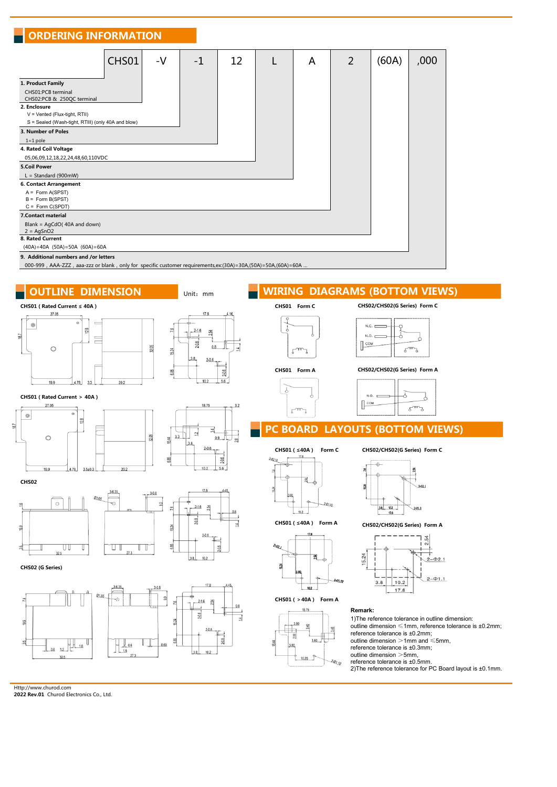#### **ORDERING INFORMATION**

|                                                                                                                                                                                      | CHS01 | $-V$ | $-1$ | 12 |  | A | $\overline{2}$ | (60A) | ,000 |
|--------------------------------------------------------------------------------------------------------------------------------------------------------------------------------------|-------|------|------|----|--|---|----------------|-------|------|
| 1. Product Family                                                                                                                                                                    |       |      |      |    |  |   |                |       |      |
| CHS01:PCB terminal<br>CHS02:PCB & 250QC terminal                                                                                                                                     |       |      |      |    |  |   |                |       |      |
| 2. Enclosure<br>$V = V$ ented (Flux-tight, RTII)                                                                                                                                     |       |      |      |    |  |   |                |       |      |
| S = Sealed (Wash-tight, RTIII) (only 40A and blow)                                                                                                                                   |       |      |      |    |  |   |                |       |      |
| 3. Number of Poles                                                                                                                                                                   |       |      |      |    |  |   |                |       |      |
| $1=1$ pole                                                                                                                                                                           |       |      |      |    |  |   |                |       |      |
| 4. Rated Coil Voltage                                                                                                                                                                |       |      |      |    |  |   |                |       |      |
| 05,06,09,12,18,22,24,48,60,110VDC                                                                                                                                                    |       |      |      |    |  |   |                |       |      |
| <b>5.Coil Power</b>                                                                                                                                                                  |       |      |      |    |  |   |                |       |      |
| $L = Standard (900mW)$                                                                                                                                                               |       |      |      |    |  |   |                |       |      |
| 6. Contact Arrangement                                                                                                                                                               |       |      |      |    |  |   |                |       |      |
| $A = Form A(SPST)$                                                                                                                                                                   |       |      |      |    |  |   |                |       |      |
| $B = Form B(SPST)$                                                                                                                                                                   |       |      |      |    |  |   |                |       |      |
| $C = Form C(SPDT)$                                                                                                                                                                   |       |      |      |    |  |   |                |       |      |
| 7. Contact material                                                                                                                                                                  |       |      |      |    |  |   |                |       |      |
| Blank = AgCdO(40A and down)                                                                                                                                                          |       |      |      |    |  |   |                |       |      |
| $2 = AgSnO2$                                                                                                                                                                         |       |      |      |    |  |   |                |       |      |
| 8. Rated Current                                                                                                                                                                     |       |      |      |    |  |   |                |       |      |
| $(40A)=40A$ $(50A)=50A$ $(60A)=60A$                                                                                                                                                  |       |      |      |    |  |   |                |       |      |
| 9. Additional numbers and /or letters                                                                                                                                                |       |      |      |    |  |   |                |       |      |
| 000 000 $\Lambda\Lambda$ 777 023 777 or blank only for specific system crowing prior or (20 $\Lambda$ ) = 20 $\Lambda$ (50 $\Lambda$ ) = 50 $\Lambda$ (60 $\Lambda$ ) = 60 $\Lambda$ |       |      |      |    |  |   |                |       |      |

000-999, AAA-ZZZ, aaa-zzz or blank, only for specific customer requirements,ex:(30A)=30A,(50A)=50A,(60A)=60A …

# **OUTLINE DIMENSION WIRING DIAGRAMS (BOTTOM VIEWS)**



 $38$  $10.2$ 

 $27$ 

outline dimension >5mm, reference tolerance is ±0.5mm.

 $10.20$ 

 $\theta_{l,n}$ 

2)The reference tolerance for PC Board layout is ±0.1mm.

Http://www.churod.com

 **2022 Rev.01** Churod Electronics Co., Ltd.

 $32.5$